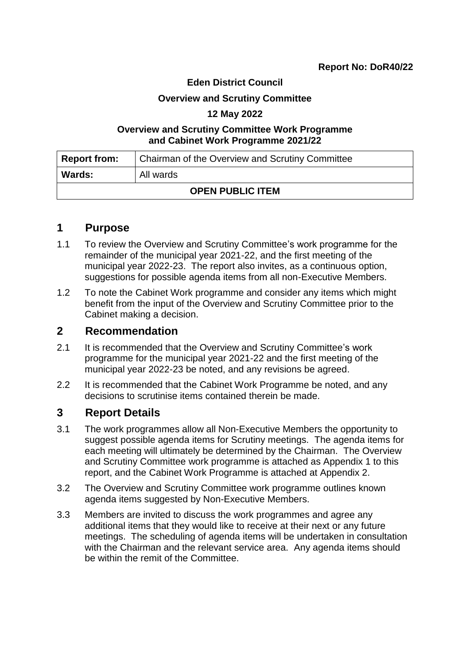### **Eden District Council**

#### **Overview and Scrutiny Committee**

### **12 May 2022**

### **Overview and Scrutiny Committee Work Programme and Cabinet Work Programme 2021/22**

| Report from:            | Chairman of the Overview and Scrutiny Committee |  |
|-------------------------|-------------------------------------------------|--|
| <b>Wards:</b>           | All wards                                       |  |
| <b>OPEN PUBLIC ITEM</b> |                                                 |  |

### **1 Purpose**

- 1.1 To review the Overview and Scrutiny Committee's work programme for the remainder of the municipal year 2021-22, and the first meeting of the municipal year 2022-23. The report also invites, as a continuous option, suggestions for possible agenda items from all non-Executive Members.
- 1.2 To note the Cabinet Work programme and consider any items which might benefit from the input of the Overview and Scrutiny Committee prior to the Cabinet making a decision.

### **2 Recommendation**

- 2.1 It is recommended that the Overview and Scrutiny Committee's work programme for the municipal year 2021-22 and the first meeting of the municipal year 2022-23 be noted, and any revisions be agreed.
- 2.2 It is recommended that the Cabinet Work Programme be noted, and any decisions to scrutinise items contained therein be made.

### **3 Report Details**

- 3.1 The work programmes allow all Non-Executive Members the opportunity to suggest possible agenda items for Scrutiny meetings. The agenda items for each meeting will ultimately be determined by the Chairman. The Overview and Scrutiny Committee work programme is attached as Appendix 1 to this report, and the Cabinet Work Programme is attached at Appendix 2.
- 3.2 The Overview and Scrutiny Committee work programme outlines known agenda items suggested by Non-Executive Members.
- 3.3 Members are invited to discuss the work programmes and agree any additional items that they would like to receive at their next or any future meetings. The scheduling of agenda items will be undertaken in consultation with the Chairman and the relevant service area. Any agenda items should be within the remit of the Committee.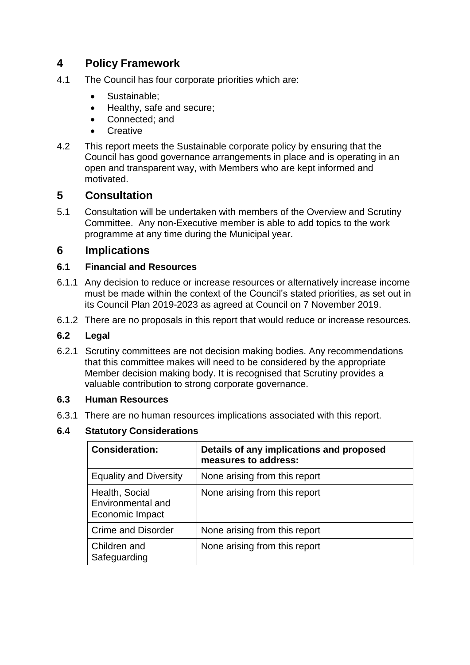# **4 Policy Framework**

- 4.1 The Council has four corporate priorities which are:
	- Sustainable:
	- Healthy, safe and secure;
	- Connected: and
	- **Creative**
- 4.2 This report meets the Sustainable corporate policy by ensuring that the Council has good governance arrangements in place and is operating in an open and transparent way, with Members who are kept informed and motivated.

# **5 Consultation**

5.1 Consultation will be undertaken with members of the Overview and Scrutiny Committee. Any non-Executive member is able to add topics to the work programme at any time during the Municipal year.

## **6 Implications**

### **6.1 Financial and Resources**

- 6.1.1 Any decision to reduce or increase resources or alternatively increase income must be made within the context of the Council's stated priorities, as set out in its Council Plan 2019-2023 as agreed at Council on 7 November 2019.
- 6.1.2 There are no proposals in this report that would reduce or increase resources.

### **6.2 Legal**

6.2.1 Scrutiny committees are not decision making bodies. Any recommendations that this committee makes will need to be considered by the appropriate Member decision making body. It is recognised that Scrutiny provides a valuable contribution to strong corporate governance.

### **6.3 Human Resources**

6.3.1 There are no human resources implications associated with this report.

### **6.4 Statutory Considerations**

| <b>Consideration:</b>                                  | Details of any implications and proposed<br>measures to address: |
|--------------------------------------------------------|------------------------------------------------------------------|
| <b>Equality and Diversity</b>                          | None arising from this report                                    |
| Health, Social<br>Environmental and<br>Economic Impact | None arising from this report                                    |
| <b>Crime and Disorder</b>                              | None arising from this report                                    |
| Children and<br>Safeguarding                           | None arising from this report                                    |